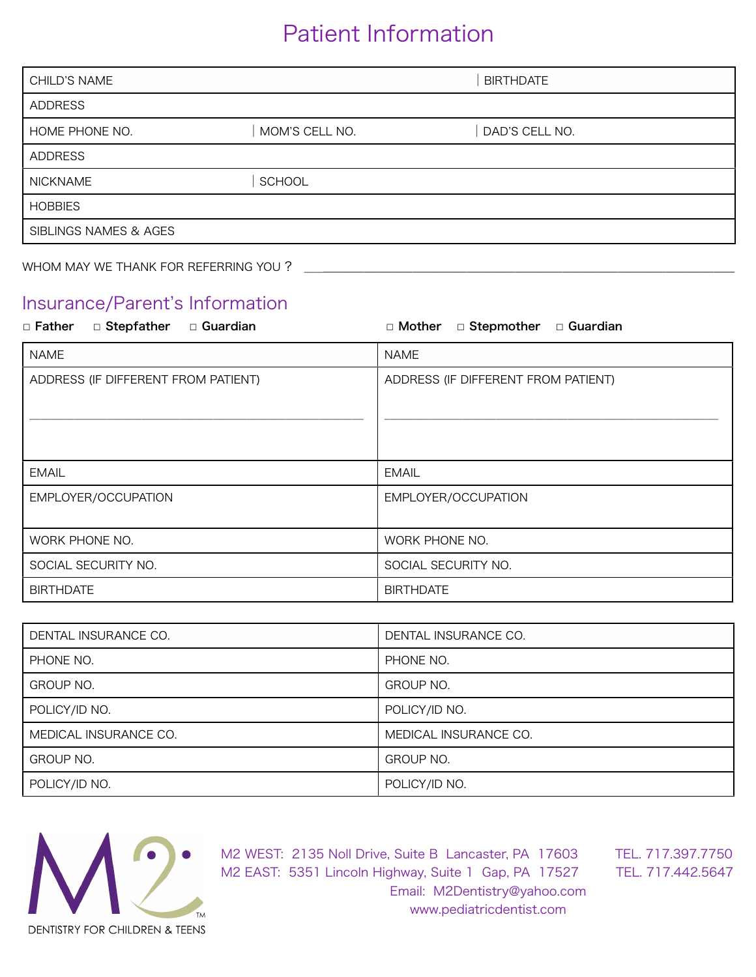## Patient Information

| <b>CHILD'S NAME</b>                  |                | <b>BIRTHDATE</b> |  |
|--------------------------------------|----------------|------------------|--|
| <b>ADDRESS</b>                       |                |                  |  |
| HOME PHONE NO.                       | MOM'S CELL NO. | DAD'S CELL NO.   |  |
| <b>ADDRESS</b>                       |                |                  |  |
| <b>NICKNAME</b>                      | SCHOOL         |                  |  |
| <b>HOBBIES</b>                       |                |                  |  |
| SIBLINGS NAMES & AGES                |                |                  |  |
| WHOM MAY WE THANK FOR REFERRING YOU? |                |                  |  |

### Insurance/Parent's Information

| □ Guardian<br>□ Stepfather<br>□ Father | □ Mother<br>□ Stepmother □ Guardian |
|----------------------------------------|-------------------------------------|
| <b>NAME</b>                            | <b>NAME</b>                         |
| ADDRESS (IF DIFFERENT FROM PATIENT)    | ADDRESS (IF DIFFERENT FROM PATIENT) |
| <b>EMAIL</b>                           | <b>EMAIL</b>                        |
| EMPLOYER/OCCUPATION                    | EMPLOYER/OCCUPATION                 |
| WORK PHONE NO.                         | WORK PHONE NO.                      |
| SOCIAL SECURITY NO.                    | SOCIAL SECURITY NO.                 |
| <b>BIRTHDATE</b>                       | <b>BIRTHDATE</b>                    |

| DENTAL INSURANCE CO.  | DENTAL INSURANCE CO.  |
|-----------------------|-----------------------|
| PHONE NO.             | PHONE NO.             |
| <b>GROUP NO.</b>      | GROUP NO.             |
| POLICY/ID NO.         | POLICY/ID NO.         |
| MEDICAL INSURANCE CO. | MEDICAL INSURANCE CO. |
| <b>GROUP NO.</b>      | <b>GROUP NO.</b>      |
| POLICY/ID NO.         | POLICY/ID NO.         |

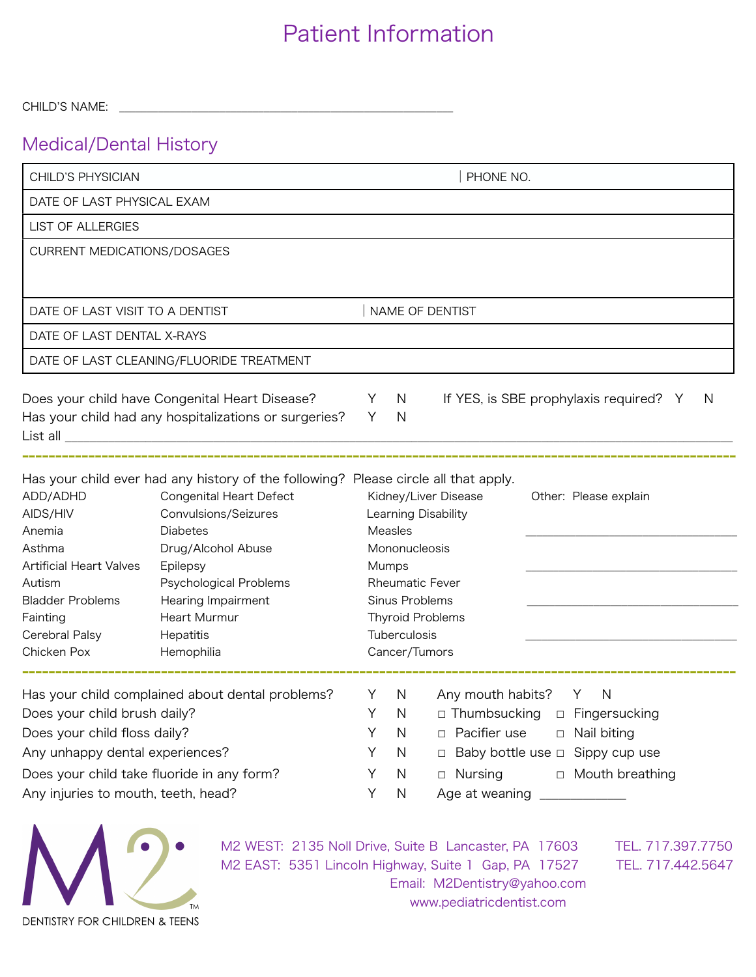## Patient Information

CHILD'S NAME:

### Medical/Dental History

| CHILD'S PHYSICIAN                                                                                                                                                                                                                                               |                                                                                     | PHONE NO. |                        |                                                                          |
|-----------------------------------------------------------------------------------------------------------------------------------------------------------------------------------------------------------------------------------------------------------------|-------------------------------------------------------------------------------------|-----------|------------------------|--------------------------------------------------------------------------|
| DATE OF LAST PHYSICAL EXAM                                                                                                                                                                                                                                      |                                                                                     |           |                        |                                                                          |
| <b>LIST OF ALLERGIES</b>                                                                                                                                                                                                                                        |                                                                                     |           |                        |                                                                          |
| CURRENT MEDICATIONS/DOSAGES                                                                                                                                                                                                                                     |                                                                                     |           |                        |                                                                          |
|                                                                                                                                                                                                                                                                 |                                                                                     |           |                        |                                                                          |
| DATE OF LAST VISIT TO A DENTIST                                                                                                                                                                                                                                 |                                                                                     |           |                        | NAME OF DENTIST                                                          |
| DATE OF LAST DENTAL X-RAYS                                                                                                                                                                                                                                      |                                                                                     |           |                        |                                                                          |
|                                                                                                                                                                                                                                                                 | DATE OF LAST CLEANING/FLUORIDE TREATMENT                                            |           |                        |                                                                          |
|                                                                                                                                                                                                                                                                 |                                                                                     |           |                        |                                                                          |
|                                                                                                                                                                                                                                                                 | Does your child have Congenital Heart Disease?                                      | Y         | <sup>N</sup>           | If YES, is SBE prophylaxis required? Y<br>N                              |
|                                                                                                                                                                                                                                                                 | Has your child had any hospitalizations or surgeries?                               | Y         | N                      |                                                                          |
|                                                                                                                                                                                                                                                                 |                                                                                     |           |                        |                                                                          |
|                                                                                                                                                                                                                                                                 |                                                                                     |           |                        |                                                                          |
|                                                                                                                                                                                                                                                                 | Has your child ever had any history of the following? Please circle all that apply. |           |                        |                                                                          |
|                                                                                                                                                                                                                                                                 |                                                                                     |           |                        |                                                                          |
|                                                                                                                                                                                                                                                                 | <b>Congenital Heart Defect</b>                                                      |           |                        | Kidney/Liver Disease<br>Other: Please explain                            |
|                                                                                                                                                                                                                                                                 | Convulsions/Seizures                                                                |           |                        | Learning Disability                                                      |
|                                                                                                                                                                                                                                                                 | <b>Diabetes</b>                                                                     |           | Measles                |                                                                          |
|                                                                                                                                                                                                                                                                 | Drug/Alcohol Abuse<br>Epilepsy                                                      |           | Mononucleosis<br>Mumps |                                                                          |
|                                                                                                                                                                                                                                                                 | Psychological Problems                                                              |           |                        | <b>Rheumatic Fever</b>                                                   |
|                                                                                                                                                                                                                                                                 | Hearing Impairment                                                                  |           | Sinus Problems         |                                                                          |
|                                                                                                                                                                                                                                                                 | Heart Murmur                                                                        |           |                        | <b>Thyroid Problems</b>                                                  |
|                                                                                                                                                                                                                                                                 | Hepatitis                                                                           |           | Tuberculosis           |                                                                          |
|                                                                                                                                                                                                                                                                 | Hemophilia                                                                          |           | Cancer/Tumors          |                                                                          |
|                                                                                                                                                                                                                                                                 |                                                                                     |           |                        |                                                                          |
|                                                                                                                                                                                                                                                                 | Has your child complained about dental problems?                                    | Y         | <sup>N</sup>           | Any mouth habits?<br>Y<br><sup>N</sup>                                   |
|                                                                                                                                                                                                                                                                 |                                                                                     |           | Y N                    | □ Thumbsucking □ Fingersucking                                           |
|                                                                                                                                                                                                                                                                 |                                                                                     | Y         | N                      | □ Pacifier use<br>□ Nail biting                                          |
| ADD/ADHD<br>AIDS/HIV<br>Anemia<br>Asthma<br><b>Artificial Heart Valves</b><br>Autism<br><b>Bladder Problems</b><br>Fainting<br>Cerebral Palsy<br>Chicken Pox<br>Does your child brush daily?<br>Does your child floss daily?<br>Any unhappy dental experiences? | Does your child take fluoride in any form?                                          | Υ<br>Y    | N<br>N                 | □ Baby bottle use □ Sippy cup use<br>$\Box$ Nursing<br>□ Mouth breathing |



M2 EAST: 5351 Lincoln Highway, Suite 1 Gap, PA 17527 TEL. 717.442.5647 Email: [M2Dentistry@yahoo.com](mailto:M2Dentistry@yahoo.com) [www.pediatricdentist.com](http://www.pediatricdentist.com)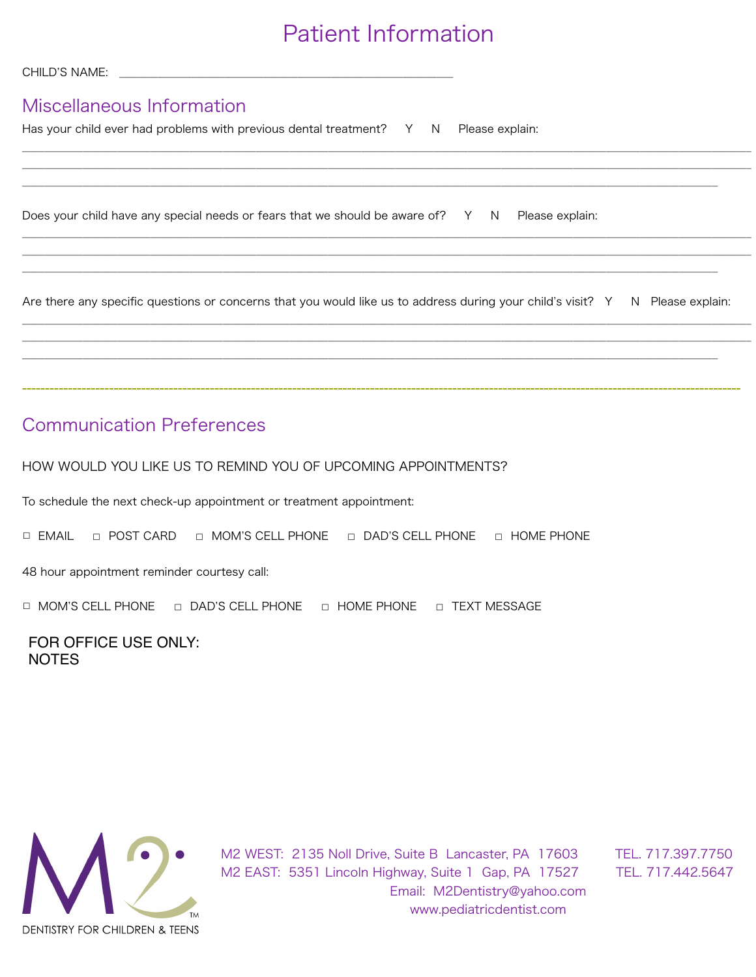## Patient Information

| Miscellaneous Information<br>Has your child ever had problems with previous dental treatment? Y N Please explain:             |
|-------------------------------------------------------------------------------------------------------------------------------|
|                                                                                                                               |
| Does your child have any special needs or fears that we should be aware of? Y N Please explain:                               |
|                                                                                                                               |
| Are there any specific questions or concerns that you would like us to address during your child's visit? Y N Please explain: |
|                                                                                                                               |
|                                                                                                                               |
| <b>Communication Preferences</b>                                                                                              |

HOW WOULD YOU LIKE US TO REMIND YOU OF UPCOMING APPOINTMENTS?

To schedule the next check-up appointment or treatment appointment:

☐ EMAIL ☐ POST CARD ☐ MOM'S CELL PHONE ☐ DAD'S CELL PHONE ☐ HOME PHONE

48 hour appointment reminder courtesy call:

☐ MOM'S CELL PHONE ☐ DAD'S CELL PHONE ☐ HOME PHONE ☐ TEXT MESSAGE

FOR OFFICE USE ONLY: **NOTES** 

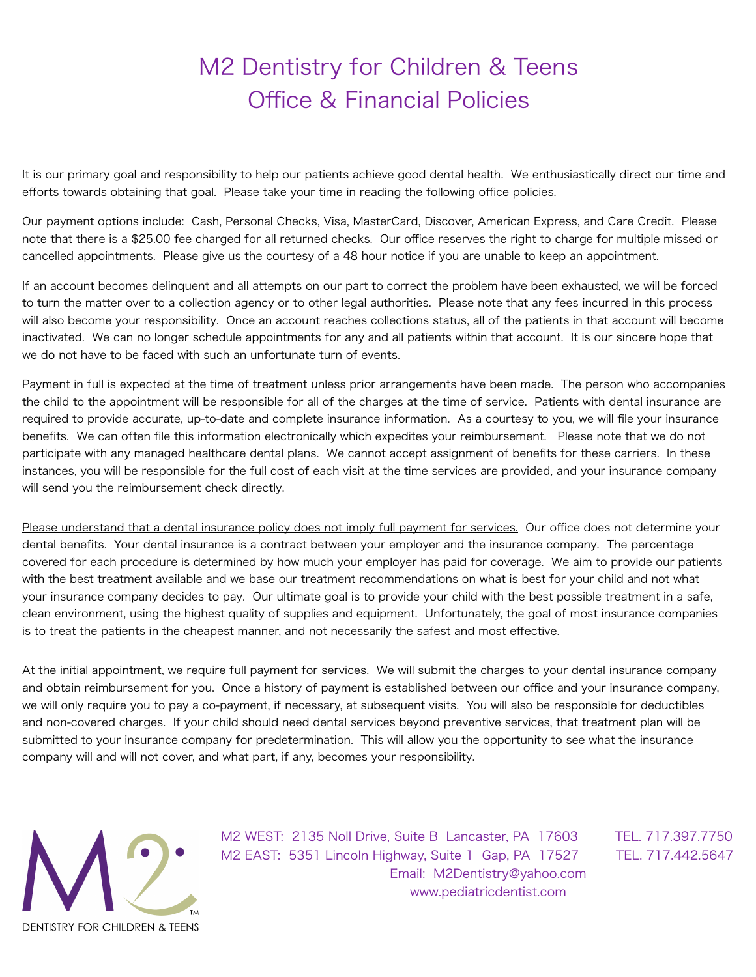# M2 Dentistry for Children & Teens Office & Financial Policies

It is our primary goal and responsibility to help our patients achieve good dental health. We enthusiastically direct our time and efforts towards obtaining that goal. Please take your time in reading the following office policies.

Our payment options include: Cash, Personal Checks, Visa, MasterCard, Discover, American Express, and Care Credit. Please note that there is a \$25.00 fee charged for all returned checks. Our office reserves the right to charge for multiple missed or cancelled appointments. Please give us the courtesy of a 48 hour notice if you are unable to keep an appointment.

If an account becomes delinquent and all attempts on our part to correct the problem have been exhausted, we will be forced to turn the matter over to a collection agency or to other legal authorities. Please note that any fees incurred in this process will also become your responsibility. Once an account reaches collections status, all of the patients in that account will become inactivated. We can no longer schedule appointments for any and all patients within that account. It is our sincere hope that we do not have to be faced with such an unfortunate turn of events.

Payment in full is expected at the time of treatment unless prior arrangements have been made. The person who accompanies the child to the appointment will be responsible for all of the charges at the time of service. Patients with dental insurance are required to provide accurate, up-to-date and complete insurance information. As a courtesy to you, we will file your insurance benefits. We can often file this information electronically which expedites your reimbursement. Please note that we do not participate with any managed healthcare dental plans. We cannot accept assignment of benefits for these carriers. In these instances, you will be responsible for the full cost of each visit at the time services are provided, and your insurance company will send you the reimbursement check directly.

Please understand that a dental insurance policy does not imply full payment for services. Our office does not determine your dental benefits. Your dental insurance is a contract between your employer and the insurance company. The percentage covered for each procedure is determined by how much your employer has paid for coverage. We aim to provide our patients with the best treatment available and we base our treatment recommendations on what is best for your child and not what your insurance company decides to pay. Our ultimate goal is to provide your child with the best possible treatment in a safe, clean environment, using the highest quality of supplies and equipment. Unfortunately, the goal of most insurance companies is to treat the patients in the cheapest manner, and not necessarily the safest and most effective.

At the initial appointment, we require full payment for services. We will submit the charges to your dental insurance company and obtain reimbursement for you. Once a history of payment is established between our office and your insurance company, we will only require you to pay a co-payment, if necessary, at subsequent visits. You will also be responsible for deductibles and non-covered charges. If your child should need dental services beyond preventive services, that treatment plan will be submitted to your insurance company for predetermination. This will allow you the opportunity to see what the insurance company will and will not cover, and what part, if any, becomes your responsibility.